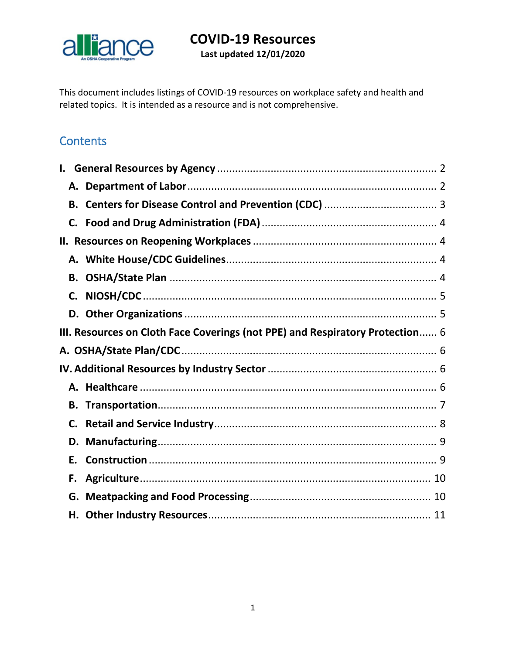

This document includes listings of COVID-19 resources on workplace safety and health and related topics. It is intended as a resource and is not comprehensive.

## **Contents**

| В.                                                                            |  |
|-------------------------------------------------------------------------------|--|
|                                                                               |  |
|                                                                               |  |
|                                                                               |  |
| В.                                                                            |  |
| C.                                                                            |  |
| D.                                                                            |  |
| III. Resources on Cloth Face Coverings (not PPE) and Respiratory Protection 6 |  |
|                                                                               |  |
|                                                                               |  |
|                                                                               |  |
|                                                                               |  |
|                                                                               |  |
| C.                                                                            |  |
| D.                                                                            |  |
| Е.                                                                            |  |
| F.                                                                            |  |
|                                                                               |  |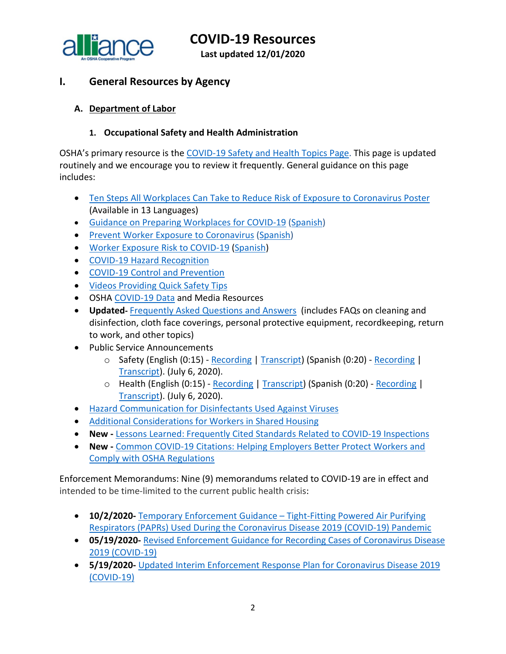

**Last updated 12/01/2020**

## <span id="page-1-0"></span>**I. General Resources by Agency**

### <span id="page-1-1"></span>**A. Department of Labor**

#### **1. Occupational Safety and Health Administration**

OSHA's primary resource is the [COVID-19 Safety and Health Topics Page.](https://www.osha.gov/SLTC/covid-19/) This page is updated routinely and we encourage you to review it frequently. General guidance on this page includes:

- [Ten Steps All Workplaces Can Take to Reduce Risk of Exposure to Coronavirus Poster](https://www.osha.gov/pls/publications/publication.html#c19) (Available in 13 Languages)
- [Guidance on Preparing Workplaces for COVID-19](https://www.osha.gov/Publications/OSHA3990.pdf) [\(Spanish\)](https://www.osha.gov/Publications/OSHA3992.pdf)
- [Prevent Worker Exposure to Coronavirus](https://www.osha.gov/Publications/OSHA3989.pdf) [\(Spanish\)](https://www.osha.gov/Publications/OSHA3991.pdf)
- [Worker Exposure Risk to COVID-19](https://gcc01.safelinks.protection.outlook.com/?url=https%3A%2F%2Fwww.osha.gov%2FPublications%2FOSHA3993.pdf&data=02%7C01%7CJones.Tina%40dol.gov%7C6e2c3b1ce10f40013c9508d7da6a3123%7C75a6305472044e0c9126adab971d4aca%7C0%7C0%7C637218021941315643&sdata=8Qkg7qXjpicIogFQP3X08rJ7n0TVWggPMgQvrxMnfMc%3D&reserved=0) [\(Spanish\)](https://gcc01.safelinks.protection.outlook.com/?url=https%3A%2F%2Fwww.osha.gov%2FPublications%2FOSHA3993SP.pdf&data=02%7C01%7CJones.Tina%40dol.gov%7C6e2c3b1ce10f40013c9508d7da6a3123%7C75a6305472044e0c9126adab971d4aca%7C0%7C0%7C637218021941315643&sdata=SnppZp%2FLhoXUhx07kT828WxpRx9EzG34cXCHI%2BTN8nk%3D&reserved=0)
- [COVID-19 Hazard Recognition](https://www.osha.gov/SLTC/covid-19/hazardrecognition.html)
- [COVID-19 Control and Prevention](https://www.osha.gov/SLTC/covid-19/controlprevention.html)
- [Videos Providing Quick Safety Tips](https://www.osha.gov/#covidVideos)
- OSHA [COVID-19 Data](https://www.osha.gov/news) and Media Resources
- **Updated-** [Frequently Asked Questions and Answers](https://www.osha.gov/SLTC/covid-19/covid-19-faq.html) (includes FAQs on cleaning and disinfection, cloth face coverings, personal protective equipment, recordkeeping, return to work, and other topics)
- Public Service Announcements
	- o Safety (English (0:15) [Recording](https://www.osha.gov/sites/default/files/OSHA_SHW_RadioSpot1_Eng.mp3) | [Transcript\)](https://www.osha.gov/psa#covid1en) (Spanish (0:20) [Recording](https://www.osha.gov/sites/default/files/OSHA_SHW_RadioSpot1_Span.mp3) | [Transcript\)](https://www.osha.gov/psa#covid1sp). (July 6, 2020).
	- o Health (English (0:15) [Recording](https://www.osha.gov/sites/default/files/OSHA_SHW_RadioSpot2_Eng.mp3) | [Transcript\)](https://www.osha.gov/psa#covid2en) (Spanish (0:20) [Recording](https://www.osha.gov/sites/default/files/OSHA_SHW_RadioSpot2_Span.mp3) | [Transcript\)](https://www.osha.gov/psa#covid2sp). (July 6, 2020).
- [Hazard Communication for Disinfectants Used Against Viruses](https://www.cdc.gov/niosh/topics/disinfectant/default.html?deliveryName=USCDC_10_4-DM35971)
- [Additional Considerations for Workers in Shared Housing](https://www.osha.gov/SLTC/covid-19/workers-in-shared-housing.html)
- **New -** [Lessons Learned: Frequently Cited Standards Related](https://gcc02.safelinks.protection.outlook.com/?url=https%3A%2F%2Fwww.osha.gov%2FSLTC%2Fcovid-19%2Fcovid-citations-lessons.pdf&data=04%7C01%7CGiddins.Sharease.R%40dol.gov%7Cf9f9765c6dec4e9359ba08d884c81657%7C75a6305472044e0c9126adab971d4aca%7C0%7C0%7C637405342187677355%7CUnknown%7CTWFpbGZsb3d8eyJWIjoiMC4wLjAwMDAiLCJQIjoiV2luMzIiLCJBTiI6Ik1haWwiLCJXVCI6Mn0%3D%7C1000&sdata=nONUVYQYhhSkRqQ4Q1LhRTEBST2Tcyj9a96kUbkG0gs%3D&reserved=0) to COVID-19 Inspections
- **New -** [Common COVID-19 Citations: Helping Employers Better Protect Workers and](https://gcc02.safelinks.protection.outlook.com/?url=https%3A%2F%2Fwww.osha.gov%2FSLTC%2Fcovid-19%2Fcovid-citations-guidance.pdf&data=04%7C01%7CGiddins.Sharease.R%40dol.gov%7Cf9f9765c6dec4e9359ba08d884c81657%7C75a6305472044e0c9126adab971d4aca%7C0%7C0%7C637405342187677355%7CUnknown%7CTWFpbGZsb3d8eyJWIjoiMC4wLjAwMDAiLCJQIjoiV2luMzIiLCJBTiI6Ik1haWwiLCJXVCI6Mn0%3D%7C1000&sdata=OqNImIb04btpbO9QtH%2FMsHtbXjIeKXr5UaN65hODyoY%3D&reserved=0)  [Comply with OSHA Regulations](https://gcc02.safelinks.protection.outlook.com/?url=https%3A%2F%2Fwww.osha.gov%2FSLTC%2Fcovid-19%2Fcovid-citations-guidance.pdf&data=04%7C01%7CGiddins.Sharease.R%40dol.gov%7Cf9f9765c6dec4e9359ba08d884c81657%7C75a6305472044e0c9126adab971d4aca%7C0%7C0%7C637405342187677355%7CUnknown%7CTWFpbGZsb3d8eyJWIjoiMC4wLjAwMDAiLCJQIjoiV2luMzIiLCJBTiI6Ik1haWwiLCJXVCI6Mn0%3D%7C1000&sdata=OqNImIb04btpbO9QtH%2FMsHtbXjIeKXr5UaN65hODyoY%3D&reserved=0)

Enforcement Memorandums: Nine (9) memorandums related to COVID-19 are in effect and intended to be time-limited to the current public health crisis:

- **10/2/2020-** [Temporary Enforcement Guidance –](https://www.osha.gov/memos/2020-10-02/temporary-enforcement-guidance-tight-fitting-powered-air-purifying-respirators) Tight-Fitting Powered Air Purifying [Respirators \(PAPRs\) Used During the Coronavirus Disease 2019 \(COVID-19\) Pandemic](https://www.osha.gov/memos/2020-10-02/temporary-enforcement-guidance-tight-fitting-powered-air-purifying-respirators)
- **05/19/2020-** [Revised Enforcement Guidance for Recording Cases of Coronavirus Disease](https://www.osha.gov/memos/2020-05-19/revised-enforcement-guidance-recording-cases-coronavirus-disease-2019-covid-19)  [2019 \(COVID-19\)](https://www.osha.gov/memos/2020-05-19/revised-enforcement-guidance-recording-cases-coronavirus-disease-2019-covid-19)
- **5/19/2020-** [Updated Interim Enforcement Response Plan for Coronavirus Disease 2019](https://www.osha.gov/memos/2020-05-19/updated-interim-enforcement-response-plan-coronavirus-disease-2019-covid-19)  [\(COVID-19\)](https://www.osha.gov/memos/2020-05-19/updated-interim-enforcement-response-plan-coronavirus-disease-2019-covid-19)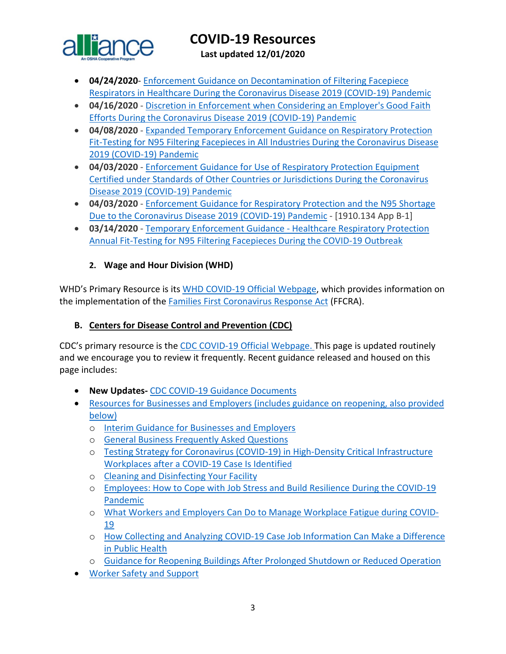

**Last updated 12/01/2020**

- **04/24/2020** [Enforcement Guidance on Decontamination of Filtering Facepiece](https://www.osha.gov/memos/2020-04-24/enforcement-guidance-decontamination-filtering-facepiece-respirators-healthcare)  [Respirators in Healthcare During the Coronavirus Disease 2019](https://www.osha.gov/memos/2020-04-24/enforcement-guidance-decontamination-filtering-facepiece-respirators-healthcare) (COVID-19) Pandemic
- **04/16/2020**  [Discretion in Enforcement when Considering an Employer's Good Faith](https://www.osha.gov/memos/2020-04-16/discretion-enforcement-when-considering-employers-good-faith-efforts-during)  [Efforts During the Coronavirus Disease 2019 \(COVID-19\) Pandemic](https://www.osha.gov/memos/2020-04-16/discretion-enforcement-when-considering-employers-good-faith-efforts-during)
- **04/08/2020**  [Expanded Temporary Enforcement Guidance on Respiratory Protection](https://www.osha.gov/memos/2020-04-08/expanded-temporary-enforcement-guidance-respiratory-protection-fit-testing-n95)  [Fit-Testing for N95 Filtering Facepieces in All Industries During the Coronavirus Disease](https://www.osha.gov/memos/2020-04-08/expanded-temporary-enforcement-guidance-respiratory-protection-fit-testing-n95)  [2019 \(COVID-19\) Pandemic](https://www.osha.gov/memos/2020-04-08/expanded-temporary-enforcement-guidance-respiratory-protection-fit-testing-n95)
- **04/03/2020**  [Enforcement Guidance for Use of Respiratory Protection Equipment](https://www.osha.gov/memos/2020-04-03/enforcement-guidance-use-respiratory-protection-equipment-certified-under)  [Certified under Standards of Other Countries or Jurisdictions During the Coronavirus](https://www.osha.gov/memos/2020-04-03/enforcement-guidance-use-respiratory-protection-equipment-certified-under)  [Disease 2019 \(COVID-19\) Pandemic](https://www.osha.gov/memos/2020-04-03/enforcement-guidance-use-respiratory-protection-equipment-certified-under)
- **04/03/2020**  [Enforcement Guidance for Respiratory Protection and the N95 Shortage](https://www.osha.gov/memos/2020-04-03/enforcement-guidance-respiratory-protection-and-n95-shortage-due-coronavirus)  [Due to the Coronavirus Disease 2019 \(COVID-19\) Pandemic](https://www.osha.gov/memos/2020-04-03/enforcement-guidance-respiratory-protection-and-n95-shortage-due-coronavirus) - [1910.134 App B-1]
- **03/14/2020**  [Temporary Enforcement Guidance -](https://www.osha.gov/memos/2020-03-14/temporary-enforcement-guidance-healthcare-respiratory-protection-annual-fit) Healthcare Respiratory Protection [Annual Fit-Testing for N95 Filtering Facepieces During the COVID-19 Outbreak](https://www.osha.gov/memos/2020-03-14/temporary-enforcement-guidance-healthcare-respiratory-protection-annual-fit)

## **2. Wage and Hour Division (WHD)**

WHD's Primary Resource is its [WHD COVID-19 Official Webpage,](https://www.dol.gov/agencies/whd/pandemic) which provides information on the implementation of the [Families First Coronavirus Response Act](https://www.dol.gov/agencies/whd/ffcra) (FFCRA).

## <span id="page-2-0"></span>**B. Centers for Disease Control and Prevention (CDC)**

CDC's primary resource is the [CDC COVID-19 Official Webpage.](https://www.cdc.gov/coronavirus/2019-nCoV/index.html) This page is updated routinely and we encourage you to review it frequently. Recent guidance released and housed on this page includes:

- **New Updates-** [CDC COVID-19 Guidance Documents](https://www.cdc.gov/coronavirus/2019-ncov/communication/guidance-list.html?Sort=Date%3A%3Adesc)
- [Resources for Businesses and Employers \(includes guidance on reopening, also provided](https://www.cdc.gov/coronavirus/2019-ncov/community/organizations/businesses-employers.html)  [below\)](https://www.cdc.gov/coronavirus/2019-ncov/community/organizations/businesses-employers.html)
	- o [Interim Guidance for Businesses and Employers](https://www.cdc.gov/coronavirus/2019-ncov/community/guidance-business-response.html)
	- o [General Business Frequently Asked Questions](https://www.cdc.gov/coronavirus/2019-ncov/community/general-business-faq.html)
	- o [Testing Strategy for Coronavirus \(COVID-19\) in High-Density Critical Infrastructure](https://www.cdc.gov/coronavirus/2019-ncov/community/worker-safety-support/hd-testing.html)  [Workplaces after a COVID-19 Case Is Identified](https://www.cdc.gov/coronavirus/2019-ncov/community/worker-safety-support/hd-testing.html)
	- o [Cleaning and Disinfecting Your](https://www.cdc.gov/coronavirus/2019-ncov/community/clean-disinfect/index.html) Facility
	- o [Employees: How to Cope with Job Stress and Build Resilience During the COVID-19](https://www.cdc.gov/coronavirus/2019-ncov/community/mental-health-non-healthcare.html?deliveryName=USCDC_10_4-DM27902)  [Pandemic](https://www.cdc.gov/coronavirus/2019-ncov/community/mental-health-non-healthcare.html?deliveryName=USCDC_10_4-DM27902)
	- o [What Workers and Employers Can Do to Manage Workplace Fatigue during COVID-](https://www.cdc.gov/coronavirus/2019-ncov/hcp/managing-workplace-fatigue.html?deliveryName=USCDC_10_4-DM27902)[19](https://www.cdc.gov/coronavirus/2019-ncov/hcp/managing-workplace-fatigue.html?deliveryName=USCDC_10_4-DM27902)
	- o [How Collecting and Analyzing COVID-19 Case Job Information Can Make a Difference](https://blogs.cdc.gov/niosh-science-blog/2020/07/31/covid-work-data/?deliveryName=USCDC_10_4-DM34769)  [in Public Health](https://blogs.cdc.gov/niosh-science-blog/2020/07/31/covid-work-data/?deliveryName=USCDC_10_4-DM34769)
	- o [Guidance for Reopening Buildings After Prolonged Shutdown or Reduced Operation](https://www.cdc.gov/coronavirus/2019-ncov/php/building-water-system.html)
- [Worker Safety and Support](https://www.cdc.gov/coronavirus/2019-ncov/community/worker-safety-support/index.html)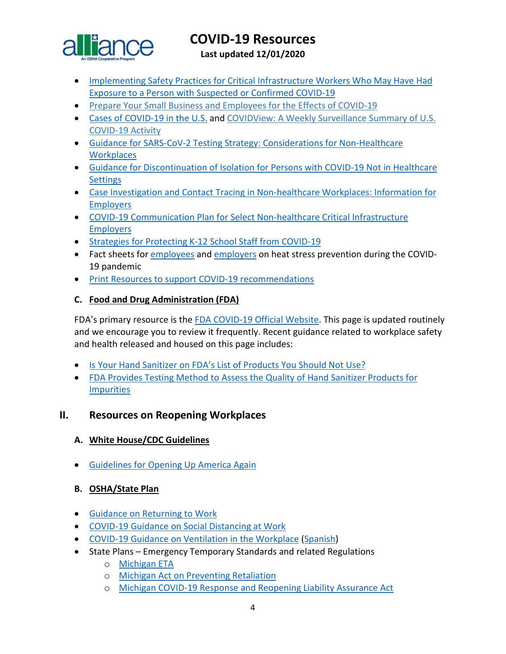

**Last updated 12/01/2020**

- [Implementing Safety Practices for Critical Infrastructure Workers Who May Have Had](https://www.cdc.gov/coronavirus/2019-ncov/community/critical-workers/implementing-safety-practices.html?deliveryName=USCDC_10_4-DM27902)  [Exposure to a Person with Suspected or Confirmed COVID-19](https://www.cdc.gov/coronavirus/2019-ncov/community/critical-workers/implementing-safety-practices.html?deliveryName=USCDC_10_4-DM27902)
- [Prepare Your Small Business and Employees for the Effects of COVID-19](https://gcc01.safelinks.protection.outlook.com/?url=https%3A%2F%2Fwww.cdc.gov%2Fcoronavirus%2F2019-ncov%2Fcommunity%2Fguidance-small-business.html&data=02%7C01%7CLee.Joey.C%40dol.gov%7Cd3f028a2390845ad13b208d7e073765f%7C75a6305472044e0c9126adab971d4aca%7C0%7C0%7C637224658823422112&sdata=afIVXnYi82UYP1zyR2iOZP07LFSoUrCLAneLSEqORqU%3D&reserved=0)
- [Cases of COVID-19 in the U.S.](https://www.cdc.gov/coronavirus/2019-ncov/cases-updates/cases-in-us.html) and [COVIDView: A Weekly Surveillance Summary of U.S.](https://gcc01.safelinks.protection.outlook.com/?url=https%3A%2F%2Fwww.cdc.gov%2Fcoronavirus%2F2019-ncov%2Fcovid-data%2Fcovidview.html&data=02%7C01%7CLee.Joey.C%40dol.gov%7Cd3f028a2390845ad13b208d7e073765f%7C75a6305472044e0c9126adab971d4aca%7C0%7C0%7C637224658823422112&sdata=4b4tPfmagxP7%2F1KsH0tTYeWyaq9vb5P8W%2B301lTIxfI%3D&reserved=0)  [COVID-19 Activity](https://gcc01.safelinks.protection.outlook.com/?url=https%3A%2F%2Fwww.cdc.gov%2Fcoronavirus%2F2019-ncov%2Fcovid-data%2Fcovidview.html&data=02%7C01%7CLee.Joey.C%40dol.gov%7Cd3f028a2390845ad13b208d7e073765f%7C75a6305472044e0c9126adab971d4aca%7C0%7C0%7C637224658823422112&sdata=4b4tPfmagxP7%2F1KsH0tTYeWyaq9vb5P8W%2B301lTIxfI%3D&reserved=0)
- [Guidance for SARS-CoV-2 Testing Strategy: Considerations for](https://www.cdc.gov/coronavirus/2019-ncov/community/organizations/testing-non-healthcare-workplaces.html?deliveryName=USCDC_10_4-DM32782) Non-Healthcare **[Workplaces](https://www.cdc.gov/coronavirus/2019-ncov/community/organizations/testing-non-healthcare-workplaces.html?deliveryName=USCDC_10_4-DM32782)**
- [Guidance for Discontinuation of Isolation for Persons with COVID-19 Not in Healthcare](https://www.cdc.gov/coronavirus/2019-ncov/hcp/disposition-in-home-patients.html?deliveryName=USCDC_10_4-DM33737)  **[Settings](https://www.cdc.gov/coronavirus/2019-ncov/hcp/disposition-in-home-patients.html?deliveryName=USCDC_10_4-DM33737)**
- [Case Investigation and Contact Tracing in Non-healthcare Workplaces: Information for](https://www.cdc.gov/coronavirus/2019-ncov/community/contact-tracing-nonhealthcare-workplaces.html?deliveryName=USCDC_10_4-DM34769)  [Employers](https://www.cdc.gov/coronavirus/2019-ncov/community/contact-tracing-nonhealthcare-workplaces.html?deliveryName=USCDC_10_4-DM34769)
- [COVID-19 Communication Plan for Select Non-healthcare Critical Infrastructure](https://www.cdc.gov/coronavirus/2019-ncov/community/communication-plan.html?deliveryName=USCDC_10_4-DM34769)  [Employers](https://www.cdc.gov/coronavirus/2019-ncov/community/communication-plan.html?deliveryName=USCDC_10_4-DM34769)
- [Strategies for Protecting K-12 School Staff from COVID-19](https://www.cdc.gov/coronavirus/2019-ncov/community/schools-childcare/k-12-staff.html?deliveryName=USCDC_10_4-DM35971)
- Fact sheets for *employees* and *employers* on heat stress prevention during the COVID-19 pandemic
- [Print Resources to support COVID-19 recommendations](https://www.cdc.gov/coronavirus/2019-ncov/communication/print-resources.html?Sort=Date%3A%3Adesc)

#### <span id="page-3-0"></span>**C. Food and Drug Administration (FDA)**

FDA's primary resource is the [FDA COVID-19 Official Website.](https://www.fda.gov/emergency-preparedness-and-response/counterterrorism-and-emerging-threats/coronavirus-disease-2019-covid-19) This page is updated routinely and we encourage you to review it frequently. Recent guidance related to workplace safety and health released and housed on this page includes:

- [Is Your Hand Sanitizer on FDA's List of Products You Should Not Use?](https://www.fda.gov/consumers/consumer-updates/your-hand-sanitizer-fdas-list-products-you-should-not-use?utm_campaign=082520_PR_Coronavirus%20%28COVID-19%29%20Update%3A%20Daily%20Roundup%20August%2025%2C%202020&utm_medium=email&utm_source=Eloqua)
- [FDA Provides Testing Method to Assess the Quality of Hand Sanitizer Products for](https://www.fda.gov/drugs/drug-safety-and-availability/fda-updates-hand-sanitizers-consumers-should-not-use?utm_campaign=082520_PR_Coronavirus%20%28COVID-19%29%20Update%3A%20Daily%20Roundup%20August%2025%2C%202020&utm_medium=email&utm_source=Eloqua#5f47ae8cd1538)  **[Impurities](https://www.fda.gov/drugs/drug-safety-and-availability/fda-updates-hand-sanitizers-consumers-should-not-use?utm_campaign=082520_PR_Coronavirus%20%28COVID-19%29%20Update%3A%20Daily%20Roundup%20August%2025%2C%202020&utm_medium=email&utm_source=Eloqua#5f47ae8cd1538)**

## <span id="page-3-1"></span>**II. Resources on Reopening Workplaces**

## <span id="page-3-2"></span>**A. White House/CDC Guidelines**

• [Guidelines for Opening Up America Again](https://www.whitehouse.gov/wp-content/uploads/2020/04/Guidelines-for-Opening-Up-America-Again.pdf)

## <span id="page-3-3"></span>**B. OSHA/State Plan**

- [Guidance on Returning to Work](https://www.osha.gov/Publications/OSHA4045.pdf)
- [COVID-19 Guidance on Social Distancing at Work](https://www.osha.gov/Publications/OSHA4027.pdf)
- [COVID-19 Guidance on Ventilation in the Workplace](https://www.osha.gov/Publications/OSHA4103.pdf) [\(Spanish\)](https://www.osha.gov/Publications/OSHA4104.pdf)
- State Plans Emergency Temporary Standards and related Regulations
	- o [Michigan ETA](https://www.michigan.gov/documents/leo/Final_MIOSHA_Rules_705164_7.pdf)
	- o [Michigan Act on Preventing Retaliation](http://www.legislature.mi.gov/documents/2019-2020/billenrolled/House/pdf/2020-HNB-6032.pdf)
	- o [Michigan COVID-19 Response and Reopening Liability Assurance Act](http://www.legislature.mi.gov/documents/2019-2020/billenrolled/House/pdf/2020-HNB-6030.pdf)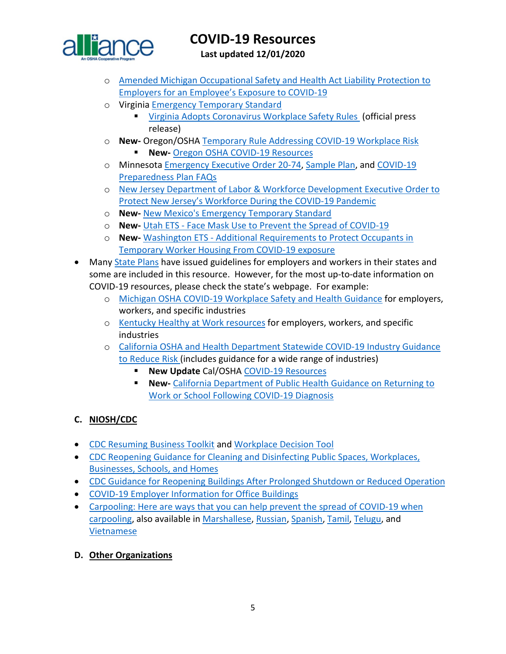

**Last updated 12/01/2020**

- o [Amended Michigan Occupational Safety and Health Act Liability Protection to](http://www.legislature.mi.gov/documents/2019-2020/billenrolled/House/pdf/2020-HNB-6031.pdf)  [Employers for an Employee's Exposure to COVID-19](http://www.legislature.mi.gov/documents/2019-2020/billenrolled/House/pdf/2020-HNB-6031.pdf)
- o Virgini[a Emergency Temporary Standard](https://www.doli.virginia.gov/wp-content/uploads/2020/07/RIS-filed-RTD-Final-ETS-7.24.2020.pdf)
	- [Virginia Adopts Coronavirus Workplace Safety Rules](https://www.governor.virginia.gov/newsroom/all-releases/2020/july/headline-859234-en.html) (official press release)
- o **New-** Oregon/OSHA [Temporary Rule Addressing COVID-19 Workplace Risk](https://osha.oregon.gov/OSHARules/div1/437-001-0744.pdf) 
	- **New-** [Oregon OSHA COVID-19 Resources](https://osha.oregon.gov/covid19/Pages/default.aspx)
- o Minnesota [Emergency Executive Order 20-74,](https://mn.gov/governor/assets/EO%2020-74%20Final_tcm1055-437539.pdf) [Sample Plan,](http://www.dli.mn.gov/sites/default/files/doc/COVID_19_business_plan_template.docx) and [COVID-19](https://www.dli.mn.gov/sites/default/files/pdf/COVID_19_preparedness_plans_industry_guidance_FAQs.pdf)  [Preparedness Plan FAQs](https://www.dli.mn.gov/sites/default/files/pdf/COVID_19_preparedness_plans_industry_guidance_FAQs.pdf)
- o [New Jersey Department of Labor & Workforce Development Executive Order to](https://nj.gov/infobank/eo/056murphy/pdf/EO-192.pdf?_ga=2.161068477.1413891878.1603977019-1458229417.1603977019)  [Protect New Jersey's Workforce During the COVID-19 Pandemic](https://nj.gov/infobank/eo/056murphy/pdf/EO-192.pdf?_ga=2.161068477.1413891878.1603977019-1458229417.1603977019)
- o **New-** [New Mexico's Emergency Temporary Standard](https://www.env.nm.gov/wp-content/uploads/2020/03/Emergency-Amendment-to-11.5.1.16-final.pdf)
- o **New-** Utah ETS [Face Mask Use to Prevent the Spread of COVID-19](https://laborcommission.utah.gov/divisions/uosh/emergency-rule/)
- o **New-** Washington ETS [Additional Requirements to Protect Occupants in](https://www.lni.wa.gov/rulemaking-activity/AO20-23/2023CR103EAdoption.pdf)  [Temporary Worker Housing From COVID-19 exposure](https://www.lni.wa.gov/rulemaking-activity/AO20-23/2023CR103EAdoption.pdf)
- Many [State Plans](https://www.osha.gov/stateplans) have issued guidelines for employers and workers in their states and some are included in this resource. However, for the most up-to-date information on COVID-19 resources, please check the state's webpage. For example:
	- o [Michigan OSHA COVID-19 Workplace Safety and Health Guidance](https://www.michigan.gov/leo/0,5863,7-336-100207---,00.html) for employers, workers, and specific industries
	- o [Kentucky Healthy at Work resources](https://govstatus.egov.com/ky-healthy-at-work) for employers, workers, and specific industries
	- o [California OSHA and Health Department Statewide COVID-19 Industry Guidance](https://covid19.ca.gov/industry-guidance/)  [to Reduce Risk](https://covid19.ca.gov/industry-guidance/) (includes guidance for a wide range of industries)
		- **New Update** Cal/OSHA [COVID-19 Resources](https://www.dir.ca.gov/dosh/coronavirus/)
		- **New-** [California Department of Public Health Guidance on Returning to](https://www.cdph.ca.gov/Programs/CID/DCDC/Pages/COVID-19/Guidance-on-Returning-to-Work-or-School-Following-COVID-19-Diagnosis.aspx)  [Work or School Following COVID-19 Diagnosis](https://www.cdph.ca.gov/Programs/CID/DCDC/Pages/COVID-19/Guidance-on-Returning-to-Work-or-School-Following-COVID-19-Diagnosis.aspx)

## <span id="page-4-0"></span>**C. NIOSH/CDC**

- [CDC Resuming Business Toolkit](https://www.cdc.gov/coronavirus/2019-ncov/community/resuming-business-toolkit.html?deliveryName=USCDC_10_4-DM29483) and [Workplace Decision Tool](https://www.cdc.gov/coronavirus/2019-ncov/community/organizations/workplace-decision-tool.html)
- [CDC Reopening Guidance for Cleaning and Disinfecting Public Spaces, Workplaces,](https://www.cdc.gov/coronavirus/2019-ncov/community/reopen-guidance.html?deliveryName=USCDC_10_4-DM27264)  [Businesses, Schools, and Homes](https://www.cdc.gov/coronavirus/2019-ncov/community/reopen-guidance.html?deliveryName=USCDC_10_4-DM27264)
- [CDC Guidance for Reopening Buildings After Prolonged Shutdown or Reduced Operation](https://www.cdc.gov/coronavirus/2019-ncov/php/building-water-system.html)
- [COVID-19 Employer Information for Office Buildings](https://www.cdc.gov/coronavirus/2019-ncov/community/office-buildings.html?deliveryName=USCDC_10_4-DM29483)
- Carpooling: Here are ways that you can help prevent the spread of COVID-19 when [carpooling,](https://www.cdc.gov/coronavirus/2019-ncov/downloads/community/organizations/carpooling-fs.pdf?deliveryName=USCDC_10_4-DM34769) also available in [Marshallese,](https://gcc02.safelinks.protection.outlook.com/?url=https%3A%2F%2Ft.emailupdates.cdc.gov%2Fr%2F%3Fid%3Dh28e36777%2C120d5047%2C120d7b03&data=02%7C01%7CJones.Tina%40dol.gov%7Cd57c418e7ca1432a08b408d84061c3ee%7C75a6305472044e0c9126adab971d4aca%7C0%7C0%7C637330135927413142&sdata=RsA38qXh2xN6qXR4Ps53vufSy2KsPalG130fEhM97Uw%3D&reserved=0) [Russian,](https://gcc02.safelinks.protection.outlook.com/?url=https%3A%2F%2Ft.emailupdates.cdc.gov%2Fr%2F%3Fid%3Dh28e36777%2C120d5047%2C120d7b04&data=02%7C01%7CJones.Tina%40dol.gov%7Cd57c418e7ca1432a08b408d84061c3ee%7C75a6305472044e0c9126adab971d4aca%7C0%7C0%7C637330135927413142&sdata=L3x6oWTT2qlFicjyB5%2BElmTcgmXFqPE%2FMHzGS2h72II%3D&reserved=0) [Spanish,](https://gcc02.safelinks.protection.outlook.com/?url=https%3A%2F%2Ft.emailupdates.cdc.gov%2Fr%2F%3Fid%3Dh28e36777%2C120d5047%2C120d7b05&data=02%7C01%7CJones.Tina%40dol.gov%7Cd57c418e7ca1432a08b408d84061c3ee%7C75a6305472044e0c9126adab971d4aca%7C0%7C0%7C637330135927413142&sdata=o6WoBVYHtWbCZQt6Oi3Cmq3c7mcnLmAoVK1E9o7K%2FLM%3D&reserved=0) [Tamil,](https://gcc02.safelinks.protection.outlook.com/?url=https%3A%2F%2Ft.emailupdates.cdc.gov%2Fr%2F%3Fid%3Dh28e36777%2C120d5047%2C120d7b06&data=02%7C01%7CJones.Tina%40dol.gov%7Cd57c418e7ca1432a08b408d84061c3ee%7C75a6305472044e0c9126adab971d4aca%7C0%7C0%7C637330135927423136&sdata=pvaJELjmctINVBLybwZ69a336WGtZ2t1Qi0d4KZxw%2FI%3D&reserved=0) [Telugu,](https://gcc02.safelinks.protection.outlook.com/?url=https%3A%2F%2Ft.emailupdates.cdc.gov%2Fr%2F%3Fid%3Dh28e36777%2C120d5047%2C120d7b07&data=02%7C01%7CJones.Tina%40dol.gov%7Cd57c418e7ca1432a08b408d84061c3ee%7C75a6305472044e0c9126adab971d4aca%7C0%7C0%7C637330135927423136&sdata=UBtZcT%2F6gjcND0GAdE6DTg0NQHpCLHHqKnFxZRB7plA%3D&reserved=0) and [Vietnamese](https://gcc02.safelinks.protection.outlook.com/?url=https%3A%2F%2Ft.emailupdates.cdc.gov%2Fr%2F%3Fid%3Dh28e36777%2C120d5047%2C120d7b62&data=02%7C01%7CJones.Tina%40dol.gov%7Cd57c418e7ca1432a08b408d84061c3ee%7C75a6305472044e0c9126adab971d4aca%7C0%7C0%7C637330135927433131&sdata=YRvAiK1ixIfpPdONkVuHCHsVnPpk6GCnkk42Oxrn0ME%3D&reserved=0)
- <span id="page-4-1"></span>**D. Other Organizations**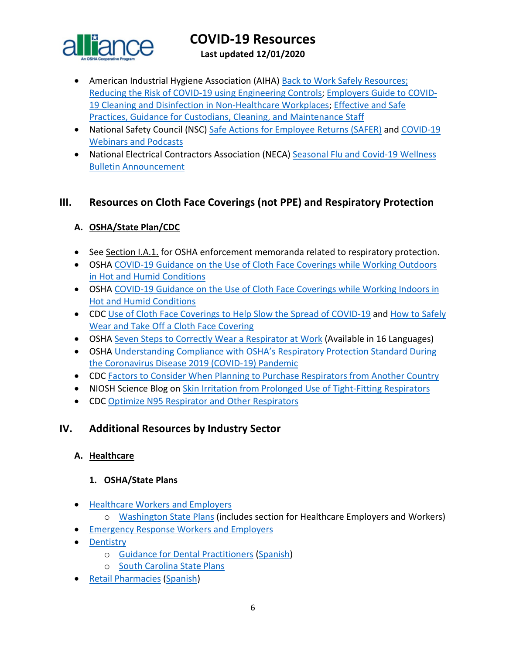

**Last updated 12/01/2020**

- American Industrial Hygiene Association (AIHA) [Back to Work Safely Resources;](https://www.backtoworksafely.org/) [Reducing the Risk of COVID-19 using Engineering Controls;](https://aiha-assets.sfo2.digitaloceanspaces.com/AIHA/resources/Guidance-Documents/Reducing-the-Risk-of-COVID-19-using-Engineering-Controls-Guidance-Document.pdf) [Employers Guide to COVID-](https://aiha-assets.sfo2.digitaloceanspaces.com/AIHA/resources/Guidance-Documents/Employers-Guide-to-COVID-Cleaning-and-Disinfection-in-Non-Healthcare-Workplaces-Guidance-Document.pdf)[19 Cleaning and Disinfection in Non-Healthcare Workplaces;](https://aiha-assets.sfo2.digitaloceanspaces.com/AIHA/resources/Guidance-Documents/Employers-Guide-to-COVID-Cleaning-and-Disinfection-in-Non-Healthcare-Workplaces-Guidance-Document.pdf) [Effective and Safe](https://aiha-assets.sfo2.digitaloceanspaces.com/AIHA/resources/Guidance-Documents/Effective-and-Safe-Practices-Guidance-for-Custodians-Cleaning-and-Maintenance-Staff-Guidance-Document.pdf)  [Practices, Guidance for Custodians, Cleaning, and Maintenance Staff](https://aiha-assets.sfo2.digitaloceanspaces.com/AIHA/resources/Guidance-Documents/Effective-and-Safe-Practices-Guidance-for-Custodians-Cleaning-and-Maintenance-Staff-Guidance-Document.pdf)
- National Safety Council (NSC) [Safe Actions for Employee Returns \(SAFER\)](https://www.nsc.org/work-safety/safety-topics/safe-actions-for-employee-returns-safer) and [COVID-19](https://www.nsc.org/work-safety/safety-topics/coronavirus/webinars)  [Webinars and Podcasts](https://www.nsc.org/work-safety/safety-topics/coronavirus/webinars)
- National Electrical Contractors Association (NECA) [Seasonal Flu and Covid-19 Wellness](http://www.neca-neis.org/powerlinesafety/press-room/detail-page/powerline-safety-press-releases/2020/10/12/flu-wellness-bulletin-announcement)  [Bulletin Announcement](http://www.neca-neis.org/powerlinesafety/press-room/detail-page/powerline-safety-press-releases/2020/10/12/flu-wellness-bulletin-announcement)

## <span id="page-5-0"></span>**III. Resources on Cloth Face Coverings (not PPE) and Respiratory Protection**

## <span id="page-5-1"></span>**A. OSHA/State Plan/CDC**

- See Section I.A.1. for OSHA enforcement memoranda related to respiratory protection.
- OSHA [COVID-19 Guidance on the Use of Cloth Face Coverings while Working Outdoors](https://www.osha.gov/SLTC/heatstress/covid-19-cloth-coverings-outdoor-heat.pdf)  [in Hot and Humid Conditions](https://www.osha.gov/SLTC/heatstress/covid-19-cloth-coverings-outdoor-heat.pdf)
- OSHA COVID-19 Guidance on the Use of Cloth Face Coverings while Working Indoors in [Hot and Humid Conditions](https://www.osha.gov/SLTC/heatstress/covid-19-cloth-coverings-indoor-heat.pdf)
- CDC Use of Cloth Face Coverings [to Help Slow the Spread of COVID-19](https://www.cdc.gov/coronavirus/2019-ncov/prevent-getting-sick/diy-cloth-face-coverings.html) and [How to Safely](https://www.cdc.gov/coronavirus/2019-ncov/downloads/cloth-face-covering.pdf)  [Wear and Take Off a Cloth Face Covering](https://www.cdc.gov/coronavirus/2019-ncov/downloads/cloth-face-covering.pdf)
- OSHA [Seven Steps to Correctly Wear a Respirator at Work](https://www.osha.gov/pls/publications/publication.html#seven-steps) (Available in 16 Languages)
- OSHA [Understanding Compliance with OSHA's Respiratory Protection Standard During](https://www.osha.gov/SLTC/respiratoryprotection/respiratory-protection-covid19-compliance.pdf)  [the Coronavirus Disease 2019 \(COVID-19\) Pandemic](https://www.osha.gov/SLTC/respiratoryprotection/respiratory-protection-covid19-compliance.pdf)
- CDC [Factors to Consider When Planning to Purchase Respirators from Another Country](https://www.cdc.gov/coronavirus/2019-ncov/hcp/ppe-strategy/international-respirator-purchase.html?deliveryName=USCDC_10_4-DM27902)
- NIOSH Science Blog on [Skin Irritation from Prolonged Use of Tight-Fitting Respirators](https://blogs.cdc.gov/niosh-science-blog/2020/08/04/skin-irritation-respirators/?deliveryName=USCDC_10_4-DM34769)
- CDC [Optimize N95 Respirator and Other Respirators](https://www.cdc.gov/coronavirus/2019-ncov/hcp/n95-other-respirators.html)

## <span id="page-5-2"></span>**IV. Additional Resources by Industry Sector**

## <span id="page-5-3"></span>**A. Healthcare**

## **1. OSHA/State Plans**

- [Healthcare Workers and Employers](https://www.osha.gov/SLTC/covid-19/healthcare-workers.html)
	- o [Washington State Plans](https://www.doh.wa.gov/Emergencies/NovelCoronavirusOutbreak2020COVID19/ResourcesandRecommendations) (includes section for Healthcare Employers and Workers)
- [Emergency Response Workers and Employers](https://www.osha.gov/SLTC/covid-19/emergency-response.html)
- [Dentistry](https://www.osha.gov/SLTC/covid-19/dentistry.html)
	- o [Guidance for Dental Practitioners](https://www.osha.gov/Publications/OSHA4019.pdf) [\(Spanish\)](https://www.osha.gov/Publications/OSHA4020.pdf)
	- o [South Carolina State Plans](http://www.scosha.llronline.com/pdfs/2020/Covid19%20Fact%20Sheet.pdf)
- [Retail Pharmacies](https://www.osha.gov/Publications/OSHA4023.pdf) [\(Spanish\)](https://www.osha.gov/Publications/OSHA4024.pdf)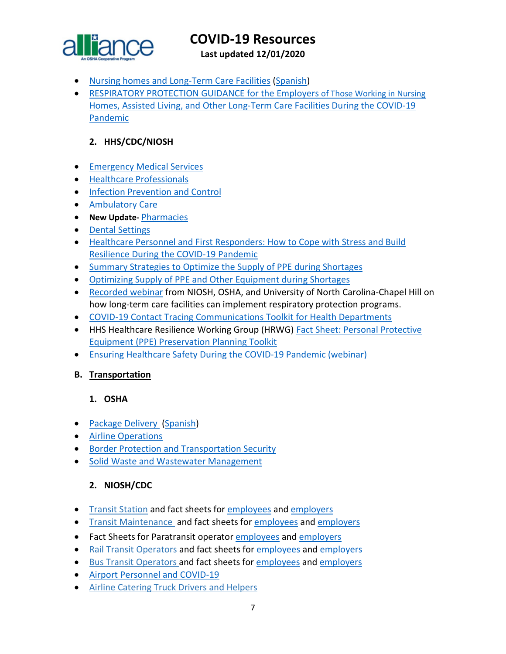

**Last updated 12/01/2020**

- [Nursing homes and Long-Term Care Facilities](https://www.osha.gov/Publications/OSHA4025.pdf) [\(Spanish\)](https://www.osha.gov/Publications/OSHA4026.pdf)
- [RESPIRATORY PROTECTION GUIDANCE for the Employers of Those Working in Nursing](https://www.osha.gov/sites/default/files/respiratory-protection-covid19-long-term-care.pdf)  [Homes, Assisted Living, and Other Long-Term Care Facilities During the COVID-19](https://www.osha.gov/sites/default/files/respiratory-protection-covid19-long-term-care.pdf)  [Pandemic](https://www.osha.gov/sites/default/files/respiratory-protection-covid19-long-term-care.pdf)

#### **2. HHS/CDC/NIOSH**

- [Emergency Medical Services](https://www.cdc.gov/coronavirus/2019-ncov/hcp/guidance-for-ems.html)
- [Healthcare Professionals](https://www.cdc.gov/coronavirus/2019-nCoV/hcp/index.html)
- [Infection Prevention and Control](https://www.cdc.gov/coronavirus/2019-ncov/hcp/infection-control-recommendations.html)
- [Ambulatory Care](https://www.cdc.gov/coronavirus/2019-ncov/hcp/guidance-hcf.html#outpatient-ambulatory)
- **New Update-** [Pharmacies](https://www.cdc.gov/coronavirus/2019-ncov/hcp/pharmacies.html)
- [Dental Settings](https://www.cdc.gov/coronavirus/2019-ncov/hcp/dental-settings.html)
- [Healthcare Personnel and First Responders: How to Cope with Stress and Build](https://www.cdc.gov/coronavirus/2019-ncov/community/mental-health-healthcare.html?deliveryName=USCDC_10_4-DM27902)  [Resilience During the COVID-19 Pandemic](https://www.cdc.gov/coronavirus/2019-ncov/community/mental-health-healthcare.html?deliveryName=USCDC_10_4-DM27902)
- [Summary Strategies to Optimize the Supply of PPE during Shortages](https://www.cdc.gov/coronavirus/2019-ncov/hcp/ppe-strategy/strategies-optimize-ppe-shortages.html?deliveryName=USCDC_10_4-DM33299)
- [Optimizing Supply of PPE and Other Equipment during Shortages](https://www.cdc.gov/coronavirus/2019-ncov/hcp/ppe-strategy/index.html?deliveryName=USCDC_10_4-DM33299)
- [Recorded](https://gcc02.safelinks.protection.outlook.com/?url=https%3A%2F%2Ft.emailupdates.cdc.gov%2Fr%2F%3Fid%3Dh28e36777%2C120d5047%2C120d7b6d&data=02%7C01%7CJones.Tina%40dol.gov%7Cd57c418e7ca1432a08b408d84061c3ee%7C75a6305472044e0c9126adab971d4aca%7C0%7C0%7C637330135927473111&sdata=XkiEu8j9gbuRoQSnwheU0OZBGa627ZX%2B1wHB3qjFEQk%3D&reserved=0) webinar from NIOSH, OSHA, and University of North Carolina-Chapel Hill on how long-term care facilities can implement respiratory protection programs.
- [COVID-19 Contact Tracing Communications Toolkit for Health Departments](https://www.cdc.gov/coronavirus/2019-ncov/php/contact-tracing-comms.html)
- HHS Healthcare Resilience Working Group (HRWG) [Fact Sheet: Personal Protective](https://files.asprtracie.hhs.gov/documents/ppepp-toolkit-fact-sheet-hrwg.pdf)  [Equipment \(PPE\) Preservation Planning Toolkit](https://files.asprtracie.hhs.gov/documents/ppepp-toolkit-fact-sheet-hrwg.pdf)
- [Ensuring Healthcare Safety During the COVID-19 Pandemic \(webinar\)](https://asprtracie.hhs.gov/technical-resources/resource/8690/ensuring-healthcare-safety-throughout-the-covid-19-pandemic)

#### <span id="page-6-0"></span>**B. Transportation**

#### **1. OSHA**

- [Package Delivery](https://www.osha.gov/Publications/OSHA3998.pdf) [\(Spanish\)](https://www.osha.gov/Publications/OSHA3999.pdf)
- [Airline Operations](https://www.osha.gov/SLTC/covid-19/airline.html)
- [Border Protection and Transportation Security](https://www.osha.gov/SLTC/covid-19/border-protection-transportation-security.html)
- [Solid Waste and Wastewater Management](https://www.osha.gov/SLTC/covid-19/solid-waste-wastewater-mgmt.html)

## **2. NIOSH/CDC**

- [Transit Station](https://gcc01.safelinks.protection.outlook.com/?url=https%3A%2F%2Fwww.cdc.gov%2Fcoronavirus%2F2019-ncov%2Fcommunity%2Forganizations%2Ftransit-station-workers.html&data=02%7C01%7CLee.Joey.C%40dol.gov%7Cd3f028a2390845ad13b208d7e073765f%7C75a6305472044e0c9126adab971d4aca%7C0%7C0%7C637224658823402199&sdata=gqxR39aHbuIIXIFKdxcH5%2Fr0vh%2F%2F8kcprzxfnJYzU5c%3D&reserved=0) and fact sheets for [employees](https://gcc02.safelinks.protection.outlook.com/?url=https%3A%2F%2Ft.emailupdates.cdc.gov%2Fr%2F%3Fid%3Dh28e36777%2C120d5047%2C120d7b69&data=02%7C01%7CJones.Tina%40dol.gov%7Cd57c418e7ca1432a08b408d84061c3ee%7C75a6305472044e0c9126adab971d4aca%7C0%7C0%7C637330135927453120&sdata=1ajanwqkJa%2FNCcvquBx6SuzpMLhxsVRs2JAYSzfHbHI%3D&reserved=0) and [employers](https://gcc02.safelinks.protection.outlook.com/?url=https%3A%2F%2Ft.emailupdates.cdc.gov%2Fr%2F%3Fid%3Dh28e36777%2C120d5047%2C120d7b6a&data=02%7C01%7CJones.Tina%40dol.gov%7Cd57c418e7ca1432a08b408d84061c3ee%7C75a6305472044e0c9126adab971d4aca%7C0%7C0%7C637330135927463113&sdata=n%2By8TntSS%2BPArK%2BQE6rx5Eu%2BAxdX3qSkvLm%2FdJOzuoE%3D&reserved=0)
- [Transit Maintenance](https://gcc01.safelinks.protection.outlook.com/?url=https%3A%2F%2Fwww.cdc.gov%2Fcoronavirus%2F2019-ncov%2Fcommunity%2Forganizations%2Ftransit-maintenance-worker.html&data=02%7C01%7CLee.Joey.C%40dol.gov%7Cd3f028a2390845ad13b208d7e073765f%7C75a6305472044e0c9126adab971d4aca%7C0%7C0%7C637224658823402199&sdata=j%2FUwewl%2FKQrbWd%2BDaUmUqfjBE5nOjDYRkHN05dJuJmM%3D&reserved=0) and fact sheets fo[r employees](https://gcc02.safelinks.protection.outlook.com/?url=https%3A%2F%2Ft.emailupdates.cdc.gov%2Fr%2F%3Fid%3Dh28e36777%2C120d5047%2C120d7b67&data=02%7C01%7CJones.Tina%40dol.gov%7Cd57c418e7ca1432a08b408d84061c3ee%7C75a6305472044e0c9126adab971d4aca%7C0%7C0%7C637330135927453120&sdata=qDaVI7enW5sPf3KhTYMvCfNYoWxIcpdALOFxbyWv1Wo%3D&reserved=0) and [employers](https://gcc02.safelinks.protection.outlook.com/?url=https%3A%2F%2Ft.emailupdates.cdc.gov%2Fr%2F%3Fid%3Dh28e36777%2C120d5047%2C120d7b68&data=02%7C01%7CJones.Tina%40dol.gov%7Cd57c418e7ca1432a08b408d84061c3ee%7C75a6305472044e0c9126adab971d4aca%7C0%7C0%7C637330135927453120&sdata=oJWSc%2BKaDDC8tJ0gkeXIYeRzd9Q8deUKMSUCbMTEkMc%3D&reserved=0)
- Fact Sheets for Paratransit operator [employees](https://gcc02.safelinks.protection.outlook.com/?url=https%3A%2F%2Ft.emailupdates.cdc.gov%2Fr%2F%3Fid%3Dh2d2a40ab%2C123b2b96%2C123b5290&data=02%7C01%7CJones.Tina%40dol.gov%7Ce34b246274a942086a1108d856644d05%7C75a6305472044e0c9126adab971d4aca%7C0%7C0%7C637354336071797447&sdata=bs1Lg6gmuP001Fh2B4Eh5Lrk8mDIPSmnfzazDWyXyl0%3D&reserved=0) and [employers](https://gcc02.safelinks.protection.outlook.com/?url=https%3A%2F%2Ft.emailupdates.cdc.gov%2Fr%2F%3Fid%3Dh2d2a40ab%2C123b2b96%2C123b5291&data=02%7C01%7CJones.Tina%40dol.gov%7Ce34b246274a942086a1108d856644d05%7C75a6305472044e0c9126adab971d4aca%7C0%7C0%7C637354336071802428&sdata=L%2F%2BIXE0ORBjVrrL8vnJo%2BdRjzNmJ764gbkQKhoqd3eU%3D&reserved=0)
- [Rail Transit Operators a](https://gcc01.safelinks.protection.outlook.com/?url=https%3A%2F%2Fwww.cdc.gov%2Fcoronavirus%2F2019-ncov%2Fcommunity%2Forganizations%2Frail-transit-operator.html&data=02%7C01%7CLee.Joey.C%40dol.gov%7Cd3f028a2390845ad13b208d7e073765f%7C75a6305472044e0c9126adab971d4aca%7C0%7C0%7C637224658823412157&sdata=Qn4BrDpf14FE29V6jS%2F6XeZ9sYQ1dThZP4p3YCPQo10%3D&reserved=0)nd fact sheets for [employees](https://gcc02.safelinks.protection.outlook.com/?url=https%3A%2F%2Ft.emailupdates.cdc.gov%2Fr%2F%3Fid%3Dh28e36777%2C120d5047%2C120d7b65&data=02%7C01%7CJones.Tina%40dol.gov%7Cd57c418e7ca1432a08b408d84061c3ee%7C75a6305472044e0c9126adab971d4aca%7C0%7C0%7C637330135927443126&sdata=qm7OpNHXtcHDTY5mQu%2FKQ70FMH3daxp3p%2BwFp9YvZcs%3D&reserved=0) and [employers](https://gcc02.safelinks.protection.outlook.com/?url=https%3A%2F%2Ft.emailupdates.cdc.gov%2Fr%2F%3Fid%3Dh28e36777%2C120d5047%2C120d7b66&data=02%7C01%7CJones.Tina%40dol.gov%7Cd57c418e7ca1432a08b408d84061c3ee%7C75a6305472044e0c9126adab971d4aca%7C0%7C0%7C637330135927443126&sdata=JPs0k9EWTQStLRcsHM2krhmwoFV79RWkg47ZgnyWtvE%3D&reserved=0)
- [Bus Transit Operators a](https://gcc01.safelinks.protection.outlook.com/?url=https%3A%2F%2Fwww.cdc.gov%2Fcoronavirus%2F2019-ncov%2Fcommunity%2Forganizations%2Fbus-transit-operator.html&data=02%7C01%7CLee.Joey.C%40dol.gov%7Cd3f028a2390845ad13b208d7e073765f%7C75a6305472044e0c9126adab971d4aca%7C0%7C0%7C637224658823412157&sdata=1LfVqpGfiPT8YHqVgmknweLGf51kxuB6CO3wyC%2FGVKY%3D&reserved=0)nd fact sheets for [employees](https://gcc02.safelinks.protection.outlook.com/?url=https%3A%2F%2Ft.emailupdates.cdc.gov%2Fr%2F%3Fid%3Dh28e36777%2C120d5047%2C120d7b63&data=02%7C01%7CJones.Tina%40dol.gov%7Cd57c418e7ca1432a08b408d84061c3ee%7C75a6305472044e0c9126adab971d4aca%7C0%7C0%7C637330135927433131&sdata=eS8PRboI3Hn%2FA2CpaQ1PS290kFGJWd%2Bk7lFfcyGOP30%3D&reserved=0) and [employers](https://gcc02.safelinks.protection.outlook.com/?url=https%3A%2F%2Ft.emailupdates.cdc.gov%2Fr%2F%3Fid%3Dh28e36777%2C120d5047%2C120d7b64&data=02%7C01%7CJones.Tina%40dol.gov%7Cd57c418e7ca1432a08b408d84061c3ee%7C75a6305472044e0c9126adab971d4aca%7C0%7C0%7C637330135927433131&sdata=PSgGTl38TkY1CncUHwX10UUOh06jWZS%2F0aR7xnW2%2Bsw%3D&reserved=0)
- [Airport Personnel and COVID-19](https://www.cdc.gov/coronavirus/2019-ncov/community/worker-safety-support/airports.html)
- [Airline Catering Truck Drivers and Helpers](https://gcc01.safelinks.protection.outlook.com/?url=https%3A%2F%2Fwww.cdc.gov%2Fcoronavirus%2F2019-ncov%2Fcommunity%2Forganizations%2Fairline-catering-truck-drivers.html&data=02%7C01%7CLee.Joey.C%40dol.gov%7Cd3f028a2390845ad13b208d7e073765f%7C75a6305472044e0c9126adab971d4aca%7C0%7C0%7C637224658823432069&sdata=nWmSKI0rQFZOEra72a5umFVE%2BgWhrOSYZet4aGSZDgI%3D&reserved=0)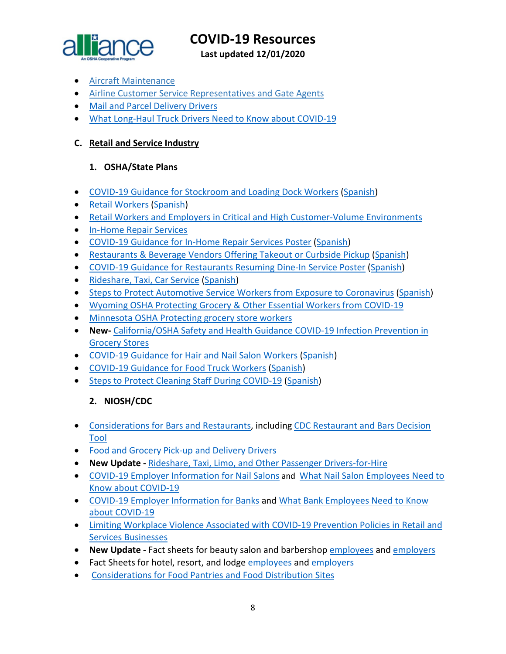

**Last updated 12/01/2020**

- [Aircraft Maintenance](https://gcc01.safelinks.protection.outlook.com/?url=https%3A%2F%2Fwww.cdc.gov%2Fcoronavirus%2F2019-ncov%2Fcommunity%2Forganizations%2Faircraft-maintenance-workers.html&data=02%7C01%7CLee.Joey.C%40dol.gov%7Cd3f028a2390845ad13b208d7e073765f%7C75a6305472044e0c9126adab971d4aca%7C0%7C0%7C637224658823432069&sdata=aIi6sfP%2BuhQPcDVin8Ki4gAcFUYcBO6YyFQNymV0zTI%3D&reserved=0)
- [Airline Customer Service Representatives and Gate Agents](https://gcc01.safelinks.protection.outlook.com/?url=https%3A%2F%2Fwww.cdc.gov%2Fcoronavirus%2F2019-ncov%2Fcommunity%2Fairport-customer-factsheet.html&data=02%7C01%7CLee.Joey.C%40dol.gov%7Cd3f028a2390845ad13b208d7e073765f%7C75a6305472044e0c9126adab971d4aca%7C0%7C0%7C637224658823432069&sdata=xDeDkhBeqOtXLQNdSOPbiMVIKIRyIGdzKuobtpNN3kk%3D&reserved=0)
- [Mail and Parcel Delivery Drivers](https://www.cdc.gov/coronavirus/2019-ncov/community/organizations/mail-parcel-drivers.html)
- [What Long-Haul Truck Drivers Need to Know about COVID-19](https://www.cdc.gov/coronavirus/2019-ncov/community/organizations/long-haul-trucking.html?deliveryName=USCDC_10_4-DM27902)

### <span id="page-7-0"></span>**C. Retail and Service Industry**

#### **1. OSHA/State Plans**

- [COVID-19 Guidance for Stockroom and Loading Dock Workers](https://www.osha.gov/Publications/OSHA4029.pdf) [\(Spanish\)](https://www.osha.gov/Publications/OSHA4030.pdf)
- [Retail Workers](https://www.osha.gov/Publications/OSHA3996.pdf) [\(Spanish\)](https://www.osha.gov/Publications/OSHA3997.pdf)
- [Retail Workers and Employers in Critical and High Customer-Volume Environments](https://www.osha.gov/SLTC/covid-19/retail.html)
- [In-Home Repair Services](https://www.osha.gov/SLTC/covid-19/in-home-repair.html)
- [COVID-19 Guidance for In-Home Repair Services Poster](https://www.osha.gov/Publications/OSHA4101.pdf) [\(Spanish\)](https://www.osha.gov/Publications/OSHA4102.pdf)
- [Restaurants & Beverage Vendors Offering Takeout or Curbside Pickup](https://www.osha.gov/Publications/OSHA4017.pdf) [\(Spanish\)](https://www.osha.gov/Publications/OSHA4018.pdf)
- [COVID-19 Guidance for Restaurants Resuming Dine-In Service Poster](https://www.osha.gov/Publications/OSHA4099.pdf) [\(Spanish\)](https://www.osha.gov/Publications/OSHA4100.pdf)
- [Rideshare, Taxi, Car Service](https://www.osha.gov/Publications/OSHA4021.pdf) [\(Spanish\)](https://www.osha.gov/Publications/OSHA4022.pdf)
- [Steps to Protect Automotive Service Workers from Exposure to Coronavirus](https://www.osha.gov/Publications/OSHA4070.pdf) [\(Spanish\)](https://www.osha.gov/Publications/OSHA4071.pdf)
- [Wyoming OSHA Protecting Grocery & Other Essential Workers from COVID-19](http://wyomingworkforce.org/news/2020-04-14a/)
- [Minnesota OSHA Protecting grocery store workers](http://www.dli.mn.gov/sites/default/files/pdf/fact_grocery_stores.pdf)
- **New-** [California/OSHA Safety and Health Guidance COVID-19 Infection Prevention in](https://www.dir.ca.gov/dosh/Coronavirus/COVID-19-Infection-Prevention-in-Grocery-Stores.pdf)  [Grocery Stores](https://www.dir.ca.gov/dosh/Coronavirus/COVID-19-Infection-Prevention-in-Grocery-Stores.pdf)
- [COVID-19 Guidance for Hair and Nail Salon Workers](https://www.osha.gov/Publications/OSHA4074.pdf) [\(Spanish\)](https://www.osha.gov/Publications/OSHA4075.pdf)
- [COVID-19 Guidance for Food Truck Workers](https://www.osha.gov/Publications/OSHA4076.pdf) [\(Spanish\)](https://www.osha.gov/Publications/OSHA4077.pdf)
- [Steps to Protect Cleaning Staff During COVID-19](https://www.osha.gov/Publications/OSHA4097.pdf) [\(Spanish\)](https://www.osha.gov/Publications/OSHA4098.pdf)

## **2. NIOSH/CDC**

- [Considerations for Bars and Restaurants,](https://www.cdc.gov/coronavirus/2019-ncov/community/organizations/business-employers/bars-restaurants.html) including [CDC Restaurant and Bars Decision](https://www.cdc.gov/coronavirus/2019-ncov/community/organizations/restaurants-and-bars-decision-tool.html)  [Tool](https://www.cdc.gov/coronavirus/2019-ncov/community/organizations/restaurants-and-bars-decision-tool.html)
- [Food and Grocery Pick-up and Delivery Drivers](https://www.cdc.gov/coronavirus/2019-ncov/community/organizations/food-grocery-drivers.html)
- **New Update -** [Rideshare, Taxi, Limo, and Other Passenger Drivers-for-Hire](https://www.cdc.gov/coronavirus/2019-ncov/community/organizations/rideshare-drivers-for-hire.html)
- [COVID-19 Employer Information for Nail Salons](https://www.cdc.gov/coronavirus/2019-ncov/community/organizations/nail-salon-employers.html?deliveryName=USCDC_10_4-DM30499) and What Nail [Salon Employees Need to](https://www.cdc.gov/coronavirus/2019-ncov/community/organizations/nail-salon-employees.html?deliveryName=USCDC_10_4-DM30499)  [Know about COVID-19](https://www.cdc.gov/coronavirus/2019-ncov/community/organizations/nail-salon-employees.html?deliveryName=USCDC_10_4-DM30499)
- [COVID-19 Employer Information for Banks](https://www.cdc.gov/coronavirus/2019-ncov/community/organizations/bank-employers.html?deliveryName=USCDC_10_4-DM31748) and [What Bank Employees Need to Know](https://www.cdc.gov/coronavirus/2019-ncov/community/organizations/bank-employees.html?deliveryName=USCDC_10_4-DM31748)  [about COVID-19](https://www.cdc.gov/coronavirus/2019-ncov/community/organizations/bank-employees.html?deliveryName=USCDC_10_4-DM31748)
- [Limiting Workplace Violence Associated with COVID-19 Prevention Policies in Retail and](https://www.cdc.gov/coronavirus/2019-ncov/community/organizations/business-employers/limit-workplace-violence.html?deliveryName=USCDC_10_4-DM37106)  [Services Businesses](https://www.cdc.gov/coronavirus/2019-ncov/community/organizations/business-employers/limit-workplace-violence.html?deliveryName=USCDC_10_4-DM37106)
- **New Update -** Fact sheets for beauty salon and barbershop [employees](https://gcc02.safelinks.protection.outlook.com/?url=https%3A%2F%2Ft.emailupdates.cdc.gov%2Fr%2F%3Fid%3Dh2c0cfaa3%2C122bfd7f%2C122d954d&data=02%7C01%7CGiddins.Sharease.R%40dol.gov%7C9dda6e26ea4049840b6a08d84f692ce4%7C75a6305472044e0c9126adab971d4aca%7C0%7C0%7C637346660436860536&sdata=U0PqmBWR%2BasPnVjUrGLXHcRSeCf4PCaY%2FgDc%2Fp3Iw0M%3D&reserved=0) and [employers](https://gcc02.safelinks.protection.outlook.com/?url=https%3A%2F%2Ft.emailupdates.cdc.gov%2Fr%2F%3Fid%3Dh2c0cfaa3%2C122bfd7f%2C122d954e&data=02%7C01%7CGiddins.Sharease.R%40dol.gov%7C9dda6e26ea4049840b6a08d84f692ce4%7C75a6305472044e0c9126adab971d4aca%7C0%7C0%7C637346660436860536&sdata=idT9dzBSgfdT6wVAPPZvyt3kSNwqynacl7y36%2F9nL3s%3D&reserved=0)
- Fact Sheets for hotel, resort, and lodge [employees](https://gcc02.safelinks.protection.outlook.com/?url=https%3A%2F%2Ft.emailupdates.cdc.gov%2Fr%2F%3Fid%3Dh2d2a40ab%2C123b2b96%2C123b528e&data=02%7C01%7CJones.Tina%40dol.gov%7Ce34b246274a942086a1108d856644d05%7C75a6305472044e0c9126adab971d4aca%7C0%7C0%7C637354336071792473&sdata=KYKI4GLMSXzHRB0SUCshRh6ZMfJ7xqBrIzwzAm6MaII%3D&reserved=0) and [employers](https://gcc02.safelinks.protection.outlook.com/?url=https%3A%2F%2Ft.emailupdates.cdc.gov%2Fr%2F%3Fid%3Dh2d2a40ab%2C123b2b96%2C123b528f&data=02%7C01%7CJones.Tina%40dol.gov%7Ce34b246274a942086a1108d856644d05%7C75a6305472044e0c9126adab971d4aca%7C0%7C0%7C637354336071797447&sdata=%2F38kIvdKX4vNtu4k30DjnDSeOfuDACettLPg85xrMfQ%3D&reserved=0)
- [Considerations for Food Pantries and Food Distribution Sites](https://www.cdc.gov/coronavirus/2019-ncov/community/organizations/food-pantries.html)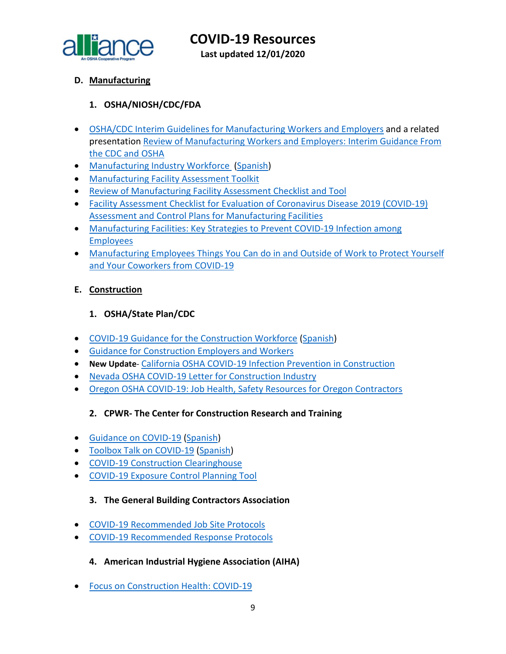

<span id="page-8-0"></span>**D. Manufacturing**

## **1. OSHA/NIOSH/CDC/FDA**

- [OSHA/CDC Interim Guidelines for Manufacturing Workers and Employers](https://www.cdc.gov/coronavirus/2019-ncov/community/guidance-manufacturing-workers-employers.html) and a related presentation [Review of Manufacturing Workers and Employers: Interim Guidance From](https://www.cdc.gov/coronavirus/2019-ncov/downloads/php/Manufacturing-Workers-Guidance-Overview.pdf)  [the CDC and OSHA](https://www.cdc.gov/coronavirus/2019-ncov/downloads/php/Manufacturing-Workers-Guidance-Overview.pdf)
- [Manufacturing Industry Workforce](https://www.osha.gov/Publications/OSHA4002.pdf) [\(Spanish\)](https://www.osha.gov/Publications/OSHA4003.pdf)
- [Manufacturing Facility Assessment Toolkit](https://www.cdc.gov/coronavirus/2019-ncov/php/manufacturing-facilities-assessment-tool.html)
- [Review of Manufacturing Facility Assessment Checklist and Tool](https://www.cdc.gov/coronavirus/2019-ncov/downloads/php/Manufacturing-Assessment-Tools-Overview.pdf)
- [Facility Assessment Checklist for Evaluation of Coronavirus Disease 2019 \(COVID-19\)](https://www.cdc.gov/coronavirus/2019-ncov/downloads/php/Manufacturing-Checklist.pdf)  [Assessment and Control Plans for Manufacturing Facilities](https://www.cdc.gov/coronavirus/2019-ncov/downloads/php/Manufacturing-Checklist.pdf)
- [Manufacturing Facilities: Key Strategies to Prevent COVID-19 Infection among](https://www.cdc.gov/coronavirus/2019-ncov/downloads/community/manufacturing-companies-fs.pdf)  [Employees](https://www.cdc.gov/coronavirus/2019-ncov/downloads/community/manufacturing-companies-fs.pdf)
- [Manufacturing Employees Things You Can do in and Outside of Work to Protect Yourself](https://www.cdc.gov/coronavirus/2019-ncov/downloads/community/manufacturing-employees-fs.pdf)  [and Your Coworkers from COVID-19](https://www.cdc.gov/coronavirus/2019-ncov/downloads/community/manufacturing-employees-fs.pdf)

#### <span id="page-8-1"></span>**E. Construction**

#### **1. OSHA/State Plan/CDC**

- [COVID-19 Guidance for the Construction Workforce](https://www.osha.gov/Publications/OSHA4000.pdf) [\(Spanish\)](https://www.osha.gov/Publications/OSHA4001.pdf)
- [Guidance for Construction Employers and Workers](https://www.osha.gov/SLTC/covid-19/construction.html)
- **New Update** California OSHA [COVID-19 Infection Prevention in Construction](https://www.dir.ca.gov/dosh/coronavirus/COVID-19-Infection-Prevention-in-Construction.pdf)
- Nevada OSHA [COVID-19 Letter for Construction Industry](http://dir.nv.gov/uploadedFiles/dirnvgov/content/home/AssessmentsDocs/OSHA%20COVID%2019%20Letter%20for%20Construction%20Industry.pdf)
- Oregon OSHA [COVID-19: Job Health, Safety Resources for Oregon Contractors](https://osha.oregon.gov/Documents/COVID19-orosha-ccb-contractors.pdf)

#### **2. CPWR- The Center for Construction Research and Training**

- [Guidance on COVID-19](https://www.cpwr.com/sites/default/files/CPWR_Guidance_on_COVID.pdf) [\(Spanish\)](https://www.cpwr.com/sites/default/files/CPWR_Guidance_on_COVID_SPANISH.pdf)
- [Toolbox Talk on COVID-19](https://www.cpwr.com/sites/default/files/publications/TT-COVID-19.pdf) [\(Spanish\)](https://www.cpwr.com/sites/default/files/publications/spanish/TT-SP-COVID-19.pdf)
- [COVID-19 Construction Clearinghouse](http://covid.elcosh.org/index.php)
- [COVID-19 Exposure Control Planning Tool](https://www.covidcpwr.org/)

#### **3. The General Building Contractors Association**

- [COVID-19 Recommended Job Site Protocols](https://gbca.com/wp-content/uploads/2020/05/2020.05.29-Job-Site-Protocol-Combined-with-Signatures.pdf)
- [COVID-19 Recommended Response Protocols](https://gbca.com/wp-content/uploads/2020/07/2020.07.09-Response-Protocols-EAS-and-BTC-combined-for-web.pdf)
	- **4. American Industrial Hygiene Association (AIHA)**
- [Focus on Construction Health: COVID-19](https://aiha-assets.sfo2.digitaloceanspaces.com/AIHA/resources/Guidance-Documents/Focus-on-Construction-Health-COVID-19_AIHAGuidanceDocument.pdf)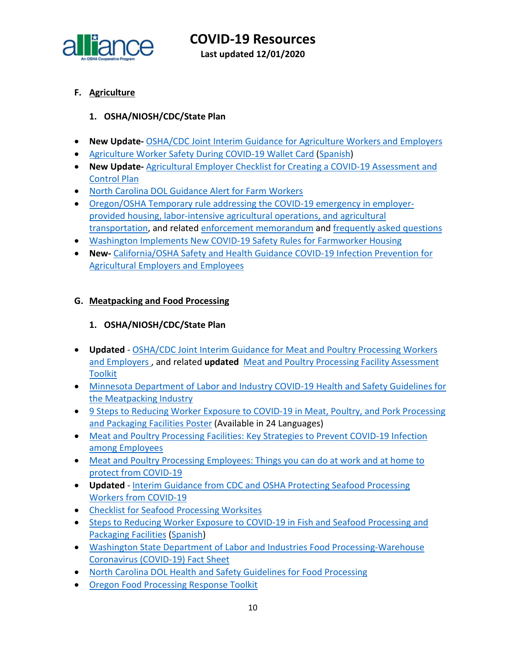

**COVID-19 Resources Last updated 12/01/2020**

#### <span id="page-9-0"></span>**F. Agriculture**

#### **1. OSHA/NIOSH/CDC/State Plan**

- **New Update-** [OSHA/CDC Joint Interim Guidance for Agriculture Workers and Employers](https://www.cdc.gov/coronavirus/2019-ncov/community/guidance-agricultural-workers.html)
- [Agriculture Worker Safety During COVID-19 Wallet Card](https://www.osha.gov/Publications/OSHA4069.pdf) [\(Spanish\)](https://www.osha.gov/Publications/OSHA4069SP.pdf)
- **New Update-** [Agricultural Employer Checklist for Creating a COVID-19 Assessment and](https://www.cdc.gov/coronavirus/2019-ncov/community/pdf/Agricultural-Employer-checklist.pdf?deliveryName=USCDC_10_4-DM31187)  [Control Plan](https://www.cdc.gov/coronavirus/2019-ncov/community/pdf/Agricultural-Employer-checklist.pdf?deliveryName=USCDC_10_4-DM31187)
- [North Carolina DOL Guidance Alert for Farm Workers](https://files.nc.gov/ncdol/documents/files/ASH-COVID-19_0.pdf)
- [Oregon/OSHA Temporary rule addressing the COVID-19 emergency in employer](https://osha.oregon.gov/OSHARules/adopted/2020/ao2-2020-text-emergency-rules-ag-covid.pdf)[provided housing, labor-intensive agricultural operations, and agricultural](https://osha.oregon.gov/OSHARules/adopted/2020/ao2-2020-text-emergency-rules-ag-covid.pdf)  [transportation,](https://osha.oregon.gov/OSHARules/adopted/2020/ao2-2020-text-emergency-rules-ag-covid.pdf) and related [enforcement memorandum](https://osha.oregon.gov/OSHARules/adopted/2020/ao2-2020-enforcement-delay-memo.pdf) and [frequently asked questions](https://osha.oregon.gov/Documents/COVID-19-Emergency-Ag-Rule-Q-A.pdf)
- [Washington Implements New COVID-19 Safety Rules for Farmworker Housing](https://www.lni.wa.gov/rulemaking-activity/AO20-09/2009CR103EAdoption.pdf?utm_medium=email&utm_source=govdelivery)
- **New-** [California/OSHA Safety and Health Guidance COVID-19 Infection Prevention for](https://www.dir.ca.gov/dosh/Coronavirus/COVID-19-Infection-Prevention-in-Agriculture.pdf)  [Agricultural Employers and Employees](https://www.dir.ca.gov/dosh/Coronavirus/COVID-19-Infection-Prevention-in-Agriculture.pdf)

#### <span id="page-9-1"></span>**G. Meatpacking and Food Processing**

#### **1. OSHA/NIOSH/CDC/State Plan**

- **Updated** OSHA/CDC Joint Interim Guidance [for Meat and Poultry Processing Workers](https://www.cdc.gov/coronavirus/2019-ncov/community/organizations/meat-poultry-processing-workers-employers.html)  [and Employers](https://www.cdc.gov/coronavirus/2019-ncov/community/organizations/meat-poultry-processing-workers-employers.html) , and related **updated** [Meat and Poultry Processing Facility Assessment](https://www.cdc.gov/coronavirus/2019-ncov/php/meat-processing-assessment-tool.html?deliveryName=USCDC_10_4-DM30062) **[Toolkit](https://www.cdc.gov/coronavirus/2019-ncov/php/meat-processing-assessment-tool.html?deliveryName=USCDC_10_4-DM30062)**
- [Minnesota Department of Labor and Industry COVID-19 Health and Safety Guidelines for](https://www.dli.mn.gov/sites/default/files/pdf/COVID_19_meatpacking_guidance.pdf)  [the Meatpacking Industry](https://www.dli.mn.gov/sites/default/files/pdf/COVID_19_meatpacking_guidance.pdf)
- [9 Steps to Reducing Worker Exposure to COVID-19 in Meat, Poultry, and Pork Processing](https://www.osha.gov/pls/publications/publication.html#nine-steps)  [and Packaging Facilities Poster](https://www.osha.gov/pls/publications/publication.html#nine-steps) (Available in 24 Languages)
- Meat and Poultry Processing Facilities: Key Strategies to Prevent COVID-19 Infection [among Employees](https://www.cdc.gov/coronavirus/2019-ncov/downloads/community/FS-MeatProcessing-EMPLOYERS.pdf?deliveryName=USCDC_10_4-DM31187)
- [Meat and Poultry Processing Employees: Things you can do at work and at home to](https://www.cdc.gov/coronavirus/2019-ncov/downloads/community/FS-MeatProcessing-EMPLOYEES.pdf?deliveryName=USCDC_10_4-DM31187)  [protect from COVID-19](https://www.cdc.gov/coronavirus/2019-ncov/downloads/community/FS-MeatProcessing-EMPLOYEES.pdf?deliveryName=USCDC_10_4-DM31187)
- **Updated**  [Interim Guidance from CDC and OSHA Protecting Seafood Processing](https://www.cdc.gov/coronavirus/2019-ncov/community/guidance-seafood-processing.html)  [Workers from COVID-19](https://www.cdc.gov/coronavirus/2019-ncov/community/guidance-seafood-processing.html)
- [Checklist for Seafood Processing Worksites](https://www.cdc.gov/coronavirus/2019-ncov/community/pdf/Seafood-checklist-covid.pdf?deliveryName=USCDC_10_4-DM34419)
- [Steps to Reducing Worker Exposure to COVID-19 in Fish and Seafood Processing and](https://www.osha.gov/Publications/OSHA4078.pdf)  [Packaging Facilities](https://www.osha.gov/Publications/OSHA4078.pdf) [\(Spanish\)](https://www.osha.gov/Publications/OSHA4079.pdf)
- [Washington State Department of Labor and Industries Food Processing-Warehouse](https://www.lni.wa.gov/forms-publications/F414-166-000.pdf?utm_medium=email&utm_source=govdelivery)  [Coronavirus \(COVID-19\) Fact Sheet](https://www.lni.wa.gov/forms-publications/F414-166-000.pdf?utm_medium=email&utm_source=govdelivery)
- [North Carolina DOL Health and Safety Guidelines](https://www.labor.nc.gov/documents/ha-2250-covid-19-health-and-safety-guidelines-food-processing) for Food Processing
- Oregon [Food Processing Response Toolkit](https://www.oregon.gov/ODA/agriculture/Documents/COVID-19/COVIDProcessorToolkit.pdf)